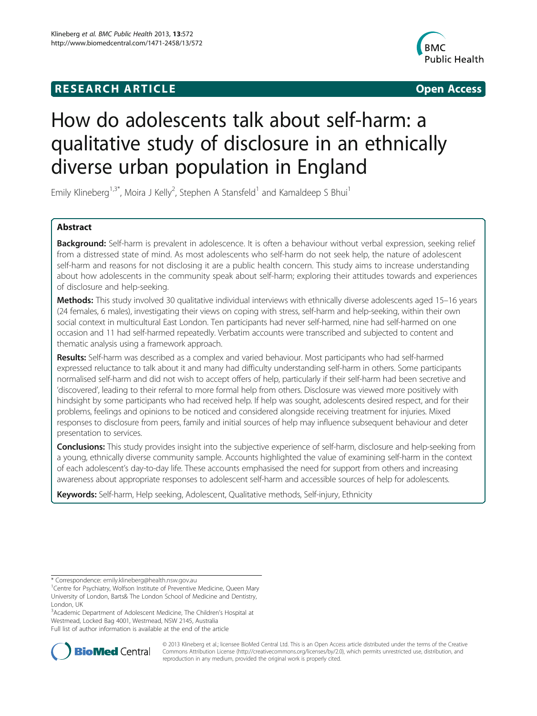## **RESEARCH ARTICLE Example 2008 CONSIDERING CONSIDERING CONSIDERING CONSIDERING CONSIDERING CONSIDERING CONSIDERING CONSIDERING CONSIDERING CONSIDERING CONSIDERING CONSIDERING CONSIDERING CONSIDERING CONSIDERING CONSIDE**



# How do adolescents talk about self-harm: a qualitative study of disclosure in an ethnically diverse urban population in England

Emily Klineberg<sup>1,3\*</sup>, Moira J Kelly<sup>2</sup>, Stephen A Stansfeld<sup>1</sup> and Kamaldeep S Bhui<sup>1</sup>

#### Abstract

Background: Self-harm is prevalent in adolescence. It is often a behaviour without verbal expression, seeking relief from a distressed state of mind. As most adolescents who self-harm do not seek help, the nature of adolescent self-harm and reasons for not disclosing it are a public health concern. This study aims to increase understanding about how adolescents in the community speak about self-harm; exploring their attitudes towards and experiences of disclosure and help-seeking.

Methods: This study involved 30 qualitative individual interviews with ethnically diverse adolescents aged 15–16 years (24 females, 6 males), investigating their views on coping with stress, self-harm and help-seeking, within their own social context in multicultural East London. Ten participants had never self-harmed, nine had self-harmed on one occasion and 11 had self-harmed repeatedly. Verbatim accounts were transcribed and subjected to content and thematic analysis using a framework approach.

Results: Self-harm was described as a complex and varied behaviour. Most participants who had self-harmed expressed reluctance to talk about it and many had difficulty understanding self-harm in others. Some participants normalised self-harm and did not wish to accept offers of help, particularly if their self-harm had been secretive and 'discovered', leading to their referral to more formal help from others. Disclosure was viewed more positively with hindsight by some participants who had received help. If help was sought, adolescents desired respect, and for their problems, feelings and opinions to be noticed and considered alongside receiving treatment for injuries. Mixed responses to disclosure from peers, family and initial sources of help may influence subsequent behaviour and deter presentation to services.

Conclusions: This study provides insight into the subjective experience of self-harm, disclosure and help-seeking from a young, ethnically diverse community sample. Accounts highlighted the value of examining self-harm in the context of each adolescent's day-to-day life. These accounts emphasised the need for support from others and increasing awareness about appropriate responses to adolescent self-harm and accessible sources of help for adolescents.

Keywords: Self-harm, Help seeking, Adolescent, Qualitative methods, Self-injury, Ethnicity

<sup>3</sup> Academic Department of Adolescent Medicine, The Children's Hospital at Westmead, Locked Bag 4001, Westmead, NSW 2145, Australia Full list of author information is available at the end of the article



© 2013 Klineberg et al.; licensee BioMed Central Ltd. This is an Open Access article distributed under the terms of the Creative Commons Attribution License [\(http://creativecommons.org/licenses/by/2.0\)](http://creativecommons.org/licenses/by/2.0), which permits unrestricted use, distribution, and reproduction in any medium, provided the original work is properly cited.

<sup>\*</sup> Correspondence: [emily.klineberg@health.nsw.gov.au](mailto:emily.klineberg@health.nsw.gov.au) <sup>1</sup>

<sup>&</sup>lt;sup>1</sup> Centre for Psychiatry, Wolfson Institute of Preventive Medicine, Queen Mary University of London, Barts& The London School of Medicine and Dentistry, London, UK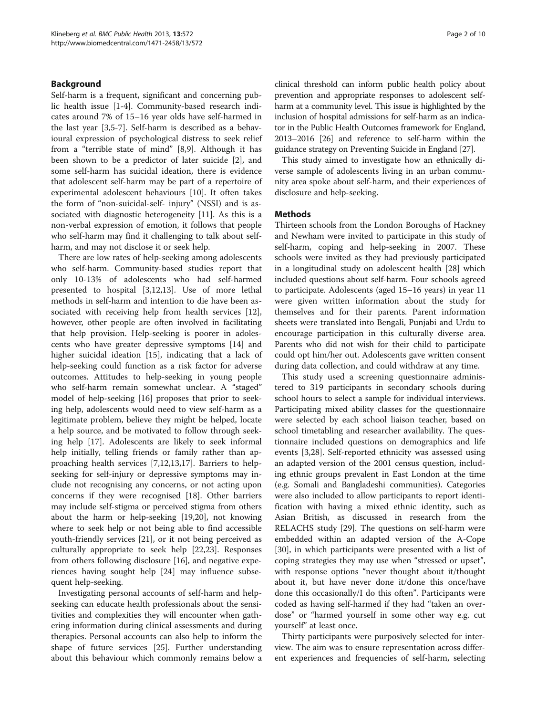#### Background

Self-harm is a frequent, significant and concerning public health issue [[1-4](#page-8-0)]. Community-based research indicates around 7% of 15–16 year olds have self-harmed in the last year [[3,5-7](#page-8-0)]. Self-harm is described as a behavioural expression of psychological distress to seek relief from a "terrible state of mind" [[8,9\]](#page-8-0). Although it has been shown to be a predictor of later suicide [[2\]](#page-8-0), and some self-harm has suicidal ideation, there is evidence that adolescent self-harm may be part of a repertoire of experimental adolescent behaviours [[10](#page-8-0)]. It often takes the form of "non-suicidal-self- injury" (NSSI) and is associated with diagnostic heterogeneity [\[11\]](#page-8-0). As this is a non-verbal expression of emotion, it follows that people who self-harm may find it challenging to talk about selfharm, and may not disclose it or seek help.

There are low rates of help-seeking among adolescents who self-harm. Community-based studies report that only 10-13% of adolescents who had self-harmed presented to hospital [\[3,12,13\]](#page-8-0). Use of more lethal methods in self-harm and intention to die have been associated with receiving help from health services [\[12](#page-8-0)], however, other people are often involved in facilitating that help provision. Help-seeking is poorer in adolescents who have greater depressive symptoms [[14\]](#page-8-0) and higher suicidal ideation [[15\]](#page-8-0), indicating that a lack of help-seeking could function as a risk factor for adverse outcomes. Attitudes to help-seeking in young people who self-harm remain somewhat unclear. A "staged" model of help-seeking [\[16](#page-8-0)] proposes that prior to seeking help, adolescents would need to view self-harm as a legitimate problem, believe they might be helped, locate a help source, and be motivated to follow through seeking help [\[17](#page-8-0)]. Adolescents are likely to seek informal help initially, telling friends or family rather than approaching health services [\[7,12,13,17](#page-8-0)]. Barriers to helpseeking for self-injury or depressive symptoms may include not recognising any concerns, or not acting upon concerns if they were recognised [\[18\]](#page-8-0). Other barriers may include self-stigma or perceived stigma from others about the harm or help-seeking [\[19,](#page-8-0)[20\]](#page-9-0), not knowing where to seek help or not being able to find accessible youth-friendly services [[21\]](#page-9-0), or it not being perceived as culturally appropriate to seek help [\[22,23\]](#page-9-0). Responses from others following disclosure [[16](#page-8-0)], and negative experiences having sought help [\[24](#page-9-0)] may influence subsequent help-seeking.

Investigating personal accounts of self-harm and helpseeking can educate health professionals about the sensitivities and complexities they will encounter when gathering information during clinical assessments and during therapies. Personal accounts can also help to inform the shape of future services [\[25\]](#page-9-0). Further understanding about this behaviour which commonly remains below a

clinical threshold can inform public health policy about prevention and appropriate responses to adolescent selfharm at a community level. This issue is highlighted by the inclusion of hospital admissions for self-harm as an indicator in the Public Health Outcomes framework for England, 2013–2016 [\[26\]](#page-9-0) and reference to self-harm within the guidance strategy on Preventing Suicide in England [[27](#page-9-0)].

This study aimed to investigate how an ethnically diverse sample of adolescents living in an urban community area spoke about self-harm, and their experiences of disclosure and help-seeking.

#### Methods

Thirteen schools from the London Boroughs of Hackney and Newham were invited to participate in this study of self-harm, coping and help-seeking in 2007. These schools were invited as they had previously participated in a longitudinal study on adolescent health [\[28\]](#page-9-0) which included questions about self-harm. Four schools agreed to participate. Adolescents (aged 15–16 years) in year 11 were given written information about the study for themselves and for their parents. Parent information sheets were translated into Bengali, Punjabi and Urdu to encourage participation in this culturally diverse area. Parents who did not wish for their child to participate could opt him/her out. Adolescents gave written consent during data collection, and could withdraw at any time.

This study used a screening questionnaire administered to 319 participants in secondary schools during school hours to select a sample for individual interviews. Participating mixed ability classes for the questionnaire were selected by each school liaison teacher, based on school timetabling and researcher availability. The questionnaire included questions on demographics and life events [[3,](#page-8-0)[28\]](#page-9-0). Self-reported ethnicity was assessed using an adapted version of the 2001 census question, including ethnic groups prevalent in East London at the time (e.g. Somali and Bangladeshi communities). Categories were also included to allow participants to report identification with having a mixed ethnic identity, such as Asian British, as discussed in research from the RELACHS study [[29\]](#page-9-0). The questions on self-harm were embedded within an adapted version of the A-Cope [[30\]](#page-9-0), in which participants were presented with a list of coping strategies they may use when "stressed or upset", with response options "never thought about it/thought about it, but have never done it/done this once/have done this occasionally/I do this often". Participants were coded as having self-harmed if they had "taken an overdose" or "harmed yourself in some other way e.g. cut yourself" at least once.

Thirty participants were purposively selected for interview. The aim was to ensure representation across different experiences and frequencies of self-harm, selecting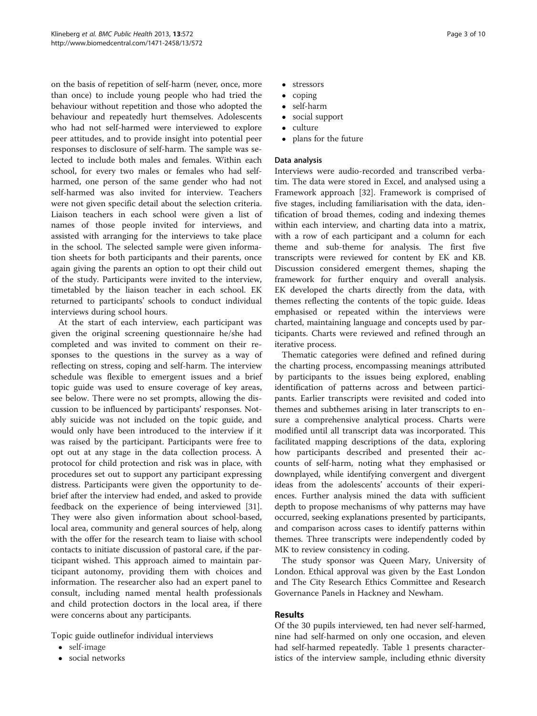on the basis of repetition of self-harm (never, once, more than once) to include young people who had tried the behaviour without repetition and those who adopted the behaviour and repeatedly hurt themselves. Adolescents who had not self-harmed were interviewed to explore peer attitudes, and to provide insight into potential peer responses to disclosure of self-harm. The sample was selected to include both males and females. Within each school, for every two males or females who had selfharmed, one person of the same gender who had not self-harmed was also invited for interview. Teachers were not given specific detail about the selection criteria. Liaison teachers in each school were given a list of names of those people invited for interviews, and assisted with arranging for the interviews to take place in the school. The selected sample were given information sheets for both participants and their parents, once again giving the parents an option to opt their child out of the study. Participants were invited to the interview, timetabled by the liaison teacher in each school. EK returned to participants' schools to conduct individual interviews during school hours.

At the start of each interview, each participant was given the original screening questionnaire he/she had completed and was invited to comment on their responses to the questions in the survey as a way of reflecting on stress, coping and self-harm. The interview schedule was flexible to emergent issues and a brief topic guide was used to ensure coverage of key areas, see below. There were no set prompts, allowing the discussion to be influenced by participants' responses. Notably suicide was not included on the topic guide, and would only have been introduced to the interview if it was raised by the participant. Participants were free to opt out at any stage in the data collection process. A protocol for child protection and risk was in place, with procedures set out to support any participant expressing distress. Participants were given the opportunity to debrief after the interview had ended, and asked to provide feedback on the experience of being interviewed [\[31](#page-9-0)]. They were also given information about school-based, local area, community and general sources of help, along with the offer for the research team to liaise with school contacts to initiate discussion of pastoral care, if the participant wished. This approach aimed to maintain participant autonomy, providing them with choices and information. The researcher also had an expert panel to consult, including named mental health professionals and child protection doctors in the local area, if there were concerns about any participants.

Topic guide outlinefor individual interviews

- self-image
- social networks
- stressors
- $\bullet$ coping
- $\bullet$ self-harm
- $\bullet$ social support
- culture
- $\bullet$ plans for the future

#### Data analysis

Interviews were audio-recorded and transcribed verbatim. The data were stored in Excel, and analysed using a Framework approach [\[32](#page-9-0)]. Framework is comprised of five stages, including familiarisation with the data, identification of broad themes, coding and indexing themes within each interview, and charting data into a matrix, with a row of each participant and a column for each theme and sub-theme for analysis. The first five transcripts were reviewed for content by EK and KB. Discussion considered emergent themes, shaping the framework for further enquiry and overall analysis. EK developed the charts directly from the data, with themes reflecting the contents of the topic guide. Ideas emphasised or repeated within the interviews were charted, maintaining language and concepts used by participants. Charts were reviewed and refined through an iterative process.

Thematic categories were defined and refined during the charting process, encompassing meanings attributed by participants to the issues being explored, enabling identification of patterns across and between participants. Earlier transcripts were revisited and coded into themes and subthemes arising in later transcripts to ensure a comprehensive analytical process. Charts were modified until all transcript data was incorporated. This facilitated mapping descriptions of the data, exploring how participants described and presented their accounts of self-harm, noting what they emphasised or downplayed, while identifying convergent and divergent ideas from the adolescents' accounts of their experiences. Further analysis mined the data with sufficient depth to propose mechanisms of why patterns may have occurred, seeking explanations presented by participants, and comparison across cases to identify patterns within themes. Three transcripts were independently coded by MK to review consistency in coding.

The study sponsor was Queen Mary, University of London. Ethical approval was given by the East London and The City Research Ethics Committee and Research Governance Panels in Hackney and Newham.

#### Results

Of the 30 pupils interviewed, ten had never self-harmed, nine had self-harmed on only one occasion, and eleven had self-harmed repeatedly. Table [1](#page-3-0) presents characteristics of the interview sample, including ethnic diversity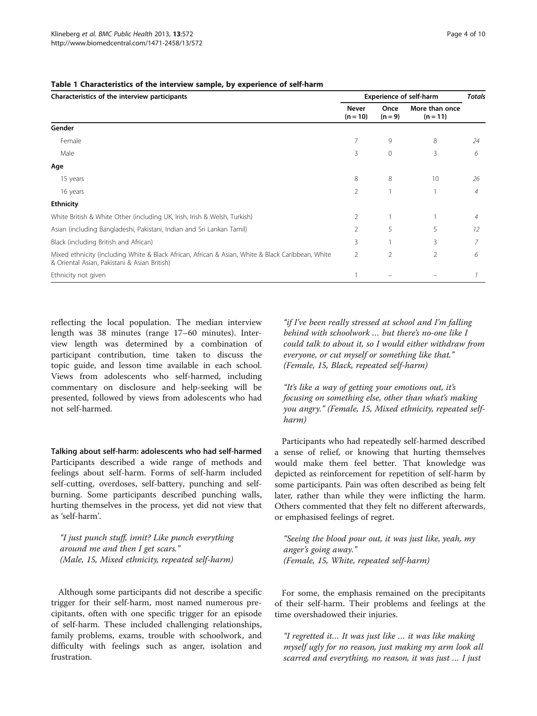| Characteristics of the interview participants                                                                                                     | <b>Experience of self-harm</b> |                   |                              | <b>Totals</b>  |
|---------------------------------------------------------------------------------------------------------------------------------------------------|--------------------------------|-------------------|------------------------------|----------------|
|                                                                                                                                                   | <b>Never</b><br>$(n = 10)$     | Once<br>$(n = 9)$ | More than once<br>$(n = 11)$ |                |
| Gender                                                                                                                                            |                                |                   |                              |                |
| Female                                                                                                                                            | 7                              | 9                 | 8                            | 24             |
| Male                                                                                                                                              | 3                              | $\mathbf{0}$      | 3                            | 6              |
| Age                                                                                                                                               |                                |                   |                              |                |
| 15 years                                                                                                                                          | 8                              | 8                 | 10                           | 26             |
| 16 years                                                                                                                                          | 2                              |                   |                              | $\overline{4}$ |
| <b>Ethnicity</b>                                                                                                                                  |                                |                   |                              |                |
| White British & White Other (including UK, Irish, Irish & Welsh, Turkish)                                                                         | 2                              |                   |                              | 4              |
| Asian (including Bangladeshi, Pakistani, Indian and Sri Lankan Tamil)                                                                             | 2                              | 5                 | 5                            | 12             |
| Black (including British and African)                                                                                                             | 3                              |                   | 3                            |                |
| Mixed ethnicity (including White & Black African, African & Asian, White & Black Caribbean, White<br>& Oriental Asian, Pakistani & Asian British) | 2                              | $\overline{2}$    | 2                            | 6              |
| Ethnicity not given                                                                                                                               |                                |                   |                              |                |

#### <span id="page-3-0"></span>Table 1 Characteristics of the interview sample, by experience of self-harm

reflecting the local population. The median interview length was 38 minutes (range 17–60 minutes). Interview length was determined by a combination of participant contribution, time taken to discuss the topic guide, and lesson time available in each school. Views from adolescents who self-harmed, including commentary on disclosure and help-seeking will be presented, followed by views from adolescents who had not self-harmed.

Talking about self-harm: adolescents who had self-harmed Participants described a wide range of methods and feelings about self-harm. Forms of self-harm included self-cutting, overdoses, self-battery, punching and selfburning. Some participants described punching walls, hurting themselves in the process, yet did not view that as 'self-harm'.

"I just punch stuff, innit? Like punch everything around me and then I get scars." (Male, 15, Mixed ethnicity, repeated self-harm)

Although some participants did not describe a specific trigger for their self-harm, most named numerous precipitants, often with one specific trigger for an episode of self-harm. These included challenging relationships, family problems, exams, trouble with schoolwork, and difficulty with feelings such as anger, isolation and frustration.

"if I've been really stressed at school and I'm falling behind with schoolwork … but there's no-one like I could talk to about it, so I would either withdraw from everyone, or cut myself or something like that." (Female, 15, Black, repeated self-harm)

"It's like a way of getting your emotions out, it's focusing on something else, other than what's making you angry." (Female, 15, Mixed ethnicity, repeated selfharm)

Participants who had repeatedly self-harmed described a sense of relief, or knowing that hurting themselves would make them feel better. That knowledge was depicted as reinforcement for repetition of self-harm by some participants. Pain was often described as being felt later, rather than while they were inflicting the harm. Others commented that they felt no different afterwards, or emphasised feelings of regret.

"Seeing the blood pour out, it was just like, yeah, my anger's going away." (Female, 15, White, repeated self-harm)

For some, the emphasis remained on the precipitants of their self-harm. Their problems and feelings at the time overshadowed their injuries.

"I regretted it… It was just like … it was like making myself ugly for no reason, just making my arm look all scarred and everything, no reason, it was just … I just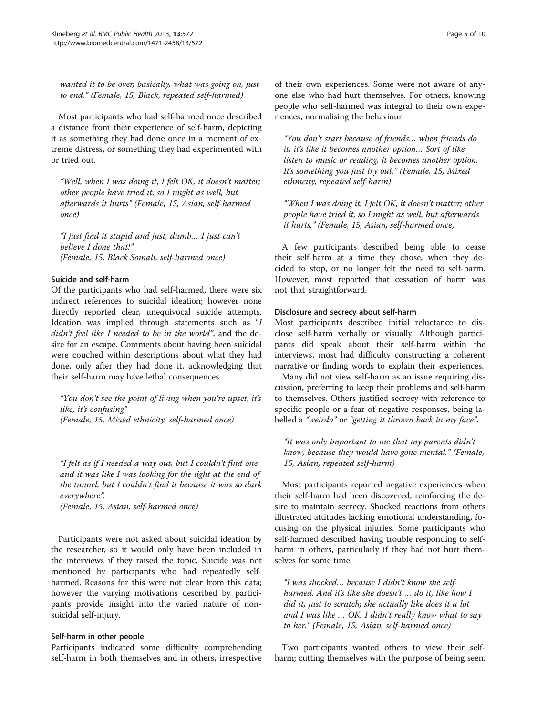wanted it to be over, basically, what was going on, just to end." (Female, 15, Black, repeated self-harmed)

Most participants who had self-harmed once described a distance from their experience of self-harm, depicting it as something they had done once in a moment of extreme distress, or something they had experimented with or tried out.

"Well, when I was doing it, I felt OK, it doesn't matter; other people have tried it, so I might as well, but afterwards it hurts" (Female, 15, Asian, self-harmed once)

"I just find it stupid and just, dumb… I just can't believe I done that!" (Female, 15, Black Somali, self-harmed once)

#### Suicide and self-harm

Of the participants who had self-harmed, there were six indirect references to suicidal ideation; however none directly reported clear, unequivocal suicide attempts. Ideation was implied through statements such as "I didn't feel like I needed to be in the world", and the desire for an escape. Comments about having been suicidal were couched within descriptions about what they had done, only after they had done it, acknowledging that their self-harm may have lethal consequences.

"You don't see the point of living when you're upset, it's like, it's confusing" (Female, 15, Mixed ethnicity, self-harmed once)

"I felt as if I needed a way out, but I couldn't find one and it was like I was looking for the light at the end of the tunnel, but I couldn't find it because it was so dark everywhere".

(Female, 15, Asian, self-harmed once)

Participants were not asked about suicidal ideation by the researcher, so it would only have been included in the interviews if they raised the topic. Suicide was not mentioned by participants who had repeatedly selfharmed. Reasons for this were not clear from this data; however the varying motivations described by participants provide insight into the varied nature of nonsuicidal self-injury.

#### Self-harm in other people

Participants indicated some difficulty comprehending self-harm in both themselves and in others, irrespective of their own experiences. Some were not aware of anyone else who had hurt themselves. For others, knowing people who self-harmed was integral to their own experiences, normalising the behaviour.

"You don't start because of friends… when friends do it, it's like it becomes another option… Sort of like listen to music or reading, it becomes another option. It's something you just try out." (Female, 15, Mixed ethnicity, repeated self-harm)

"When I was doing it, I felt OK, it doesn't matter; other people have tried it, so I might as well, but afterwards it hurts." (Female, 15, Asian, self-harmed once)

A few participants described being able to cease their self-harm at a time they chose, when they decided to stop, or no longer felt the need to self-harm. However, most reported that cessation of harm was not that straightforward.

#### Disclosure and secrecy about self-harm

Most participants described initial reluctance to disclose self-harm verbally or visually. Although participants did speak about their self-harm within the interviews, most had difficulty constructing a coherent narrative or finding words to explain their experiences.

Many did not view self-harm as an issue requiring discussion, preferring to keep their problems and self-harm to themselves. Others justified secrecy with reference to specific people or a fear of negative responses, being labelled a "weirdo" or "getting it thrown back in my face".

"It was only important to me that my parents didn't know, because they would have gone mental." (Female, 15, Asian, repeated self-harm)

Most participants reported negative experiences when their self-harm had been discovered, reinforcing the desire to maintain secrecy. Shocked reactions from others illustrated attitudes lacking emotional understanding, focusing on the physical injuries. Some participants who self-harmed described having trouble responding to selfharm in others, particularly if they had not hurt themselves for some time.

"I was shocked… because I didn't know she selfharmed. And it's like she doesn't … do it, like how I did it, just to scratch; she actually like does it a lot and I was like … OK. I didn't really know what to say to her." (Female, 15, Asian, self-harmed once)

Two participants wanted others to view their selfharm; cutting themselves with the purpose of being seen.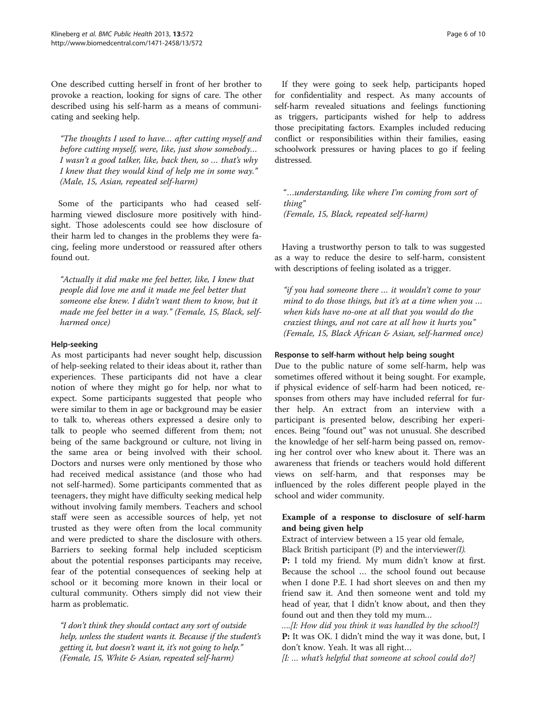One described cutting herself in front of her brother to provoke a reaction, looking for signs of care. The other described using his self-harm as a means of communicating and seeking help.

"The thoughts I used to have… after cutting myself and before cutting myself, were, like, just show somebody… I wasn't a good talker, like, back then, so … that's why I knew that they would kind of help me in some way." (Male, 15, Asian, repeated self-harm)

Some of the participants who had ceased selfharming viewed disclosure more positively with hindsight. Those adolescents could see how disclosure of their harm led to changes in the problems they were facing, feeling more understood or reassured after others found out.

"Actually it did make me feel better, like, I knew that people did love me and it made me feel better that someone else knew. I didn't want them to know, but it made me feel better in a way." (Female, 15, Black, selfharmed once)

#### Help-seeking

As most participants had never sought help, discussion of help-seeking related to their ideas about it, rather than experiences. These participants did not have a clear notion of where they might go for help, nor what to expect. Some participants suggested that people who were similar to them in age or background may be easier to talk to, whereas others expressed a desire only to talk to people who seemed different from them; not being of the same background or culture, not living in the same area or being involved with their school. Doctors and nurses were only mentioned by those who had received medical assistance (and those who had not self-harmed). Some participants commented that as teenagers, they might have difficulty seeking medical help without involving family members. Teachers and school staff were seen as accessible sources of help, yet not trusted as they were often from the local community and were predicted to share the disclosure with others. Barriers to seeking formal help included scepticism about the potential responses participants may receive, fear of the potential consequences of seeking help at school or it becoming more known in their local or cultural community. Others simply did not view their harm as problematic.

"I don't think they should contact any sort of outside help, unless the student wants it. Because if the student's getting it, but doesn't want it, it's not going to help." (Female, 15, White & Asian, repeated self-harm)

If they were going to seek help, participants hoped for confidentiality and respect. As many accounts of self-harm revealed situations and feelings functioning as triggers, participants wished for help to address those precipitating factors. Examples included reducing conflict or responsibilities within their families, easing schoolwork pressures or having places to go if feeling distressed.

"…understanding, like where I'm coming from sort of thing" (Female, 15, Black, repeated self-harm)

Having a trustworthy person to talk to was suggested as a way to reduce the desire to self-harm, consistent with descriptions of feeling isolated as a trigger.

"if you had someone there … it wouldn't come to your mind to do those things, but it's at a time when you … when kids have no-one at all that you would do the craziest things, and not care at all how it hurts you" (Female, 15, Black African & Asian, self-harmed once)

#### Response to self-harm without help being sought

Due to the public nature of some self-harm, help was sometimes offered without it being sought. For example, if physical evidence of self-harm had been noticed, responses from others may have included referral for further help. An extract from an interview with a participant is presented below, describing her experiences. Being "found out" was not unusual. She described the knowledge of her self-harm being passed on, removing her control over who knew about it. There was an awareness that friends or teachers would hold different views on self-harm, and that responses may be influenced by the roles different people played in the school and wider community.

#### Example of a response to disclosure of self-harm and being given help

Extract of interview between a 15 year old female, Black British participant  $(P)$  and the interviewer $(I)$ .

P: I told my friend. My mum didn't know at first. Because the school … the school found out because when I done P.E. I had short sleeves on and then my friend saw it. And then someone went and told my head of year, that I didn't know about, and then they found out and then they told my mum…

….[I: How did you think it was handled by the school?] P: It was OK. I didn't mind the way it was done, but, I don't know. Yeah. It was all right…

[I: ... what's helpful that someone at school could do?]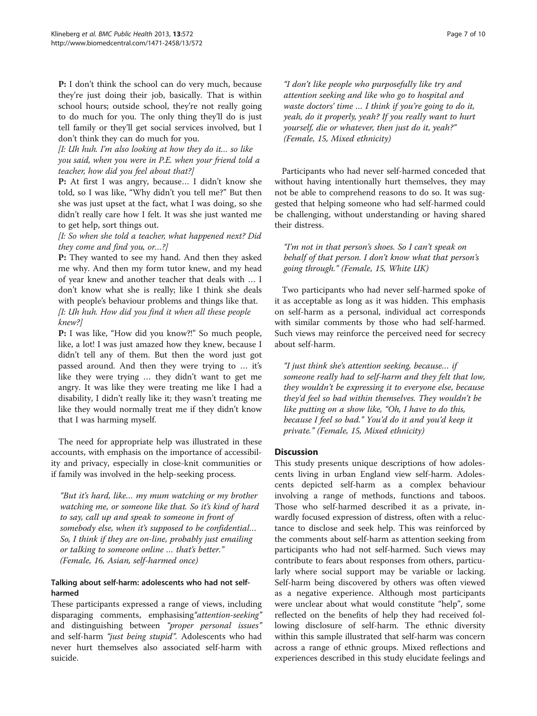P: I don't think the school can do very much, because they're just doing their job, basically. That is within school hours; outside school, they're not really going to do much for you. The only thing they'll do is just tell family or they'll get social services involved, but I don't think they can do much for you.

 $[I: Uh$  huh. I'm also looking at how they do it... so like you said, when you were in P.E. when your friend told a teacher, how did you feel about that?]

P: At first I was angry, because… I didn't know she told, so I was like, "Why didn't you tell me?" But then she was just upset at the fact, what I was doing, so she didn't really care how I felt. It was she just wanted me to get help, sort things out.

[I: So when she told a teacher, what happened next? Did they come and find you, or…?]

P: They wanted to see my hand. And then they asked me why. And then my form tutor knew, and my head of year knew and another teacher that deals with … I don't know what she is really; like I think she deals with people's behaviour problems and things like that.  $[I: Uh]$  huh. How did you find it when all these people knew?]

P: I was like, "How did you know?!" So much people, like, a lot! I was just amazed how they knew, because I didn't tell any of them. But then the word just got passed around. And then they were trying to … it's like they were trying … they didn't want to get me angry. It was like they were treating me like I had a disability, I didn't really like it; they wasn't treating me like they would normally treat me if they didn't know that I was harming myself.

The need for appropriate help was illustrated in these accounts, with emphasis on the importance of accessibility and privacy, especially in close-knit communities or if family was involved in the help-seeking process.

"But it's hard, like… my mum watching or my brother watching me, or someone like that. So it's kind of hard to say, call up and speak to someone in front of somebody else, when it's supposed to be confidential… So, I think if they are on-line, probably just emailing or talking to someone online … that's better." (Female, 16, Asian, self-harmed once)

#### Talking about self-harm: adolescents who had not selfharmed

These participants expressed a range of views, including disparaging comments, emphasising" attention-seeking' and distinguishing between "proper personal issues" and self-harm "just being stupid". Adolescents who had never hurt themselves also associated self-harm with suicide.

"I don't like people who purposefully like try and attention seeking and like who go to hospital and waste doctors' time ... I think if you're going to do it, yeah, do it properly, yeah? If you really want to hurt yourself, die or whatever, then just do it, yeah?" (Female, 15, Mixed ethnicity)

Participants who had never self-harmed conceded that without having intentionally hurt themselves, they may not be able to comprehend reasons to do so. It was suggested that helping someone who had self-harmed could be challenging, without understanding or having shared their distress.

"I'm not in that person's shoes. So I can't speak on behalf of that person. I don't know what that person's going through." (Female, 15, White UK)

Two participants who had never self-harmed spoke of it as acceptable as long as it was hidden. This emphasis on self-harm as a personal, individual act corresponds with similar comments by those who had self-harmed. Such views may reinforce the perceived need for secrecy about self-harm.

"I just think she's attention seeking, because… if someone really had to self-harm and they felt that low, they wouldn't be expressing it to everyone else, because they'd feel so bad within themselves. They wouldn't be like putting on a show like, "Oh, I have to do this, because I feel so bad." You'd do it and you'd keep it private." (Female, 15, Mixed ethnicity)

#### **Discussion**

This study presents unique descriptions of how adolescents living in urban England view self-harm. Adolescents depicted self-harm as a complex behaviour involving a range of methods, functions and taboos. Those who self-harmed described it as a private, inwardly focused expression of distress, often with a reluctance to disclose and seek help. This was reinforced by the comments about self-harm as attention seeking from participants who had not self-harmed. Such views may contribute to fears about responses from others, particularly where social support may be variable or lacking. Self-harm being discovered by others was often viewed as a negative experience. Although most participants were unclear about what would constitute "help", some reflected on the benefits of help they had received following disclosure of self-harm. The ethnic diversity within this sample illustrated that self-harm was concern across a range of ethnic groups. Mixed reflections and experiences described in this study elucidate feelings and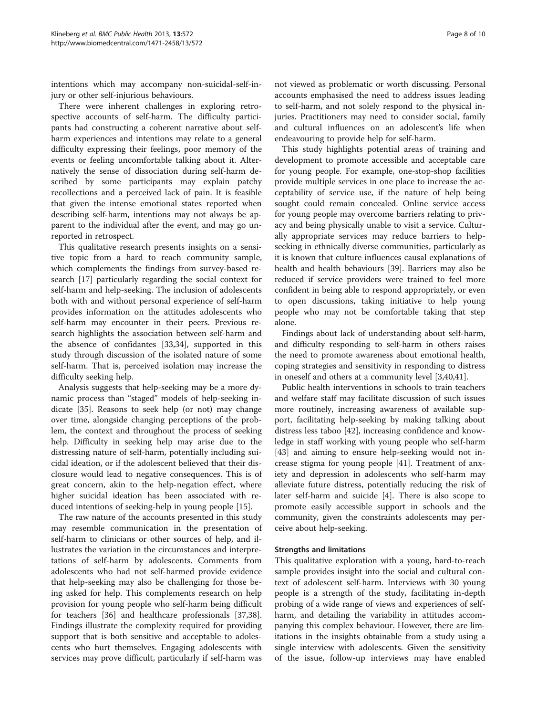intentions which may accompany non-suicidal-self-injury or other self-injurious behaviours.

There were inherent challenges in exploring retrospective accounts of self-harm. The difficulty participants had constructing a coherent narrative about selfharm experiences and intentions may relate to a general difficulty expressing their feelings, poor memory of the events or feeling uncomfortable talking about it. Alternatively the sense of dissociation during self-harm described by some participants may explain patchy recollections and a perceived lack of pain. It is feasible that given the intense emotional states reported when describing self-harm, intentions may not always be apparent to the individual after the event, and may go unreported in retrospect.

This qualitative research presents insights on a sensitive topic from a hard to reach community sample, which complements the findings from survey-based research [[17\]](#page-8-0) particularly regarding the social context for self-harm and help-seeking. The inclusion of adolescents both with and without personal experience of self-harm provides information on the attitudes adolescents who self-harm may encounter in their peers. Previous research highlights the association between self-harm and the absence of confidantes [\[33,34](#page-9-0)], supported in this study through discussion of the isolated nature of some self-harm. That is, perceived isolation may increase the difficulty seeking help.

Analysis suggests that help-seeking may be a more dynamic process than "staged" models of help-seeking indicate [\[35](#page-9-0)]. Reasons to seek help (or not) may change over time, alongside changing perceptions of the problem, the context and throughout the process of seeking help. Difficulty in seeking help may arise due to the distressing nature of self-harm, potentially including suicidal ideation, or if the adolescent believed that their disclosure would lead to negative consequences. This is of great concern, akin to the help-negation effect, where higher suicidal ideation has been associated with reduced intentions of seeking-help in young people [\[15\]](#page-8-0).

The raw nature of the accounts presented in this study may resemble communication in the presentation of self-harm to clinicians or other sources of help, and illustrates the variation in the circumstances and interpretations of self-harm by adolescents. Comments from adolescents who had not self-harmed provide evidence that help-seeking may also be challenging for those being asked for help. This complements research on help provision for young people who self-harm being difficult for teachers [[36\]](#page-9-0) and healthcare professionals [\[37,38](#page-9-0)]. Findings illustrate the complexity required for providing support that is both sensitive and acceptable to adolescents who hurt themselves. Engaging adolescents with services may prove difficult, particularly if self-harm was

not viewed as problematic or worth discussing. Personal accounts emphasised the need to address issues leading to self-harm, and not solely respond to the physical injuries. Practitioners may need to consider social, family and cultural influences on an adolescent's life when endeavouring to provide help for self-harm.

This study highlights potential areas of training and development to promote accessible and acceptable care for young people. For example, one-stop-shop facilities provide multiple services in one place to increase the acceptability of service use, if the nature of help being sought could remain concealed. Online service access for young people may overcome barriers relating to privacy and being physically unable to visit a service. Culturally appropriate services may reduce barriers to helpseeking in ethnically diverse communities, particularly as it is known that culture influences causal explanations of health and health behaviours [\[39\]](#page-9-0). Barriers may also be reduced if service providers were trained to feel more confident in being able to respond appropriately, or even to open discussions, taking initiative to help young people who may not be comfortable taking that step alone.

Findings about lack of understanding about self-harm, and difficulty responding to self-harm in others raises the need to promote awareness about emotional health, coping strategies and sensitivity in responding to distress in oneself and others at a community level [[3,](#page-8-0)[40](#page-9-0),[41](#page-9-0)].

Public health interventions in schools to train teachers and welfare staff may facilitate discussion of such issues more routinely, increasing awareness of available support, facilitating help-seeking by making talking about distress less taboo [[42\]](#page-9-0), increasing confidence and knowledge in staff working with young people who self-harm [[43\]](#page-9-0) and aiming to ensure help-seeking would not increase stigma for young people [\[41](#page-9-0)]. Treatment of anxiety and depression in adolescents who self-harm may alleviate future distress, potentially reducing the risk of later self-harm and suicide [\[4\]](#page-8-0). There is also scope to promote easily accessible support in schools and the community, given the constraints adolescents may perceive about help-seeking.

#### Strengths and limitations

This qualitative exploration with a young, hard-to-reach sample provides insight into the social and cultural context of adolescent self-harm. Interviews with 30 young people is a strength of the study, facilitating in-depth probing of a wide range of views and experiences of selfharm, and detailing the variability in attitudes accompanying this complex behaviour. However, there are limitations in the insights obtainable from a study using a single interview with adolescents. Given the sensitivity of the issue, follow-up interviews may have enabled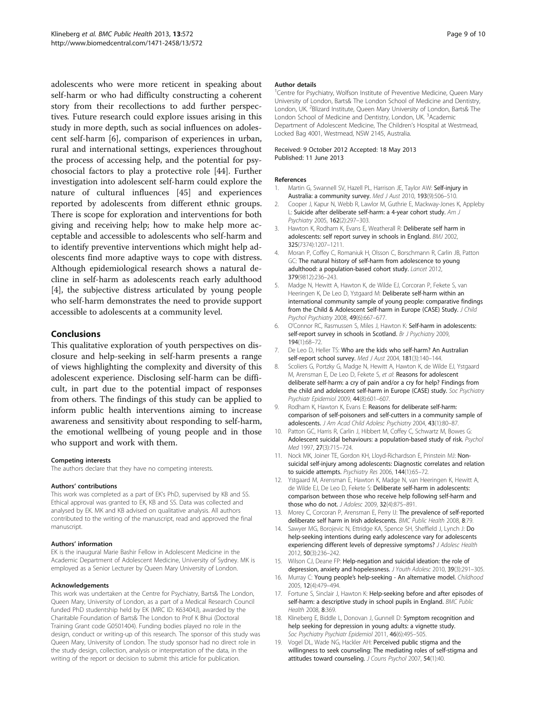<span id="page-8-0"></span>adolescents who were more reticent in speaking about self-harm or who had difficulty constructing a coherent story from their recollections to add further perspectives. Future research could explore issues arising in this study in more depth, such as social influences on adolescent self-harm [6], comparison of experiences in urban, rural and international settings, experiences throughout the process of accessing help, and the potential for psychosocial factors to play a protective role [\[44](#page-9-0)]. Further investigation into adolescent self-harm could explore the nature of cultural influences [[45\]](#page-9-0) and experiences reported by adolescents from different ethnic groups. There is scope for exploration and interventions for both giving and receiving help; how to make help more acceptable and accessible to adolescents who self-harm and to identify preventive interventions which might help adolescents find more adaptive ways to cope with distress. Although epidemiological research shows a natural decline in self-harm as adolescents reach early adulthood [4], the subjective distress articulated by young people who self-harm demonstrates the need to provide support accessible to adolescents at a community level.

#### Conclusions

This qualitative exploration of youth perspectives on disclosure and help-seeking in self-harm presents a range of views highlighting the complexity and diversity of this adolescent experience. Disclosing self-harm can be difficult, in part due to the potential impact of responses from others. The findings of this study can be applied to inform public health interventions aiming to increase awareness and sensitivity about responding to self-harm, the emotional wellbeing of young people and in those who support and work with them.

#### Competing interests

The authors declare that they have no competing interests.

#### Authors' contributions

This work was completed as a part of EK's PhD, supervised by KB and SS. Ethical approval was granted to EK, KB and SS. Data was collected and analysed by EK. MK and KB advised on qualitative analysis. All authors contributed to the writing of the manuscript, read and approved the final manuscript.

#### Authors' information

EK is the inaugural Marie Bashir Fellow in Adolescent Medicine in the Academic Department of Adolescent Medicine, University of Sydney. MK is employed as a Senior Lecturer by Queen Mary University of London.

#### Acknowledgements

This work was undertaken at the Centre for Psychiatry, Barts& The London, Queen Mary, University of London, as a part of a Medical Research Council funded PhD studentship held by EK (MRC ID: K63404J), awarded by the Charitable Foundation of Barts& The London to Prof K Bhui (Doctoral Training Grant code G0501404). Funding bodies played no role in the design, conduct or writing-up of this research. The sponsor of this study was Queen Mary, University of London. The study sponsor had no direct role in the study design, collection, analysis or interpretation of the data, in the writing of the report or decision to submit this article for publication.

#### Author details

<sup>1</sup> Centre for Psychiatry, Wolfson Institute of Preventive Medicine, Queen Mary University of London, Barts& The London School of Medicine and Dentistry, London, UK. <sup>2</sup>Blizard Institute, Queen Mary University of London, Barts& The London School of Medicine and Dentistry, London, UK. <sup>3</sup>Academic Department of Adolescent Medicine, The Children's Hospital at Westmead, Locked Bag 4001, Westmead, NSW 2145, Australia.

#### Received: 9 October 2012 Accepted: 18 May 2013 Published: 11 June 2013

#### References

- 1. Martin G, Swannell SV, Hazell PL, Harrison JE, Taylor AW: Self-injury in Australia: a community survey. Med J Aust 2010, 193(9):506–510.
- 2. Cooper J, Kapur N, Webb R, Lawlor M, Guthrie E, Mackway-Jones K, Appleby L: Suicide after deliberate self-harm: a 4-year cohort study. Am J Psychiatry 2005, 162(2):297–303.
- 3. Hawton K, Rodham K, Evans E, Weatherall R: Deliberate self harm in adolescents: self report survey in schools in England. BMJ 2002, 325(7374):1207–1211.
- 4. Moran P, Coffey C, Romaniuk H, Olsson C, Borschmann R, Carlin JB, Patton GC: The natural history of self-harm from adolescence to young adulthood: a population-based cohort study. Lancet 2012, 379(9812):236–243.
- 5. Madge N, Hewitt A, Hawton K, de Wilde EJ, Corcoran P, Fekete S, van Heeringen K, De Leo D, Ystgaard M: Deliberate self-harm within an international community sample of young people: comparative findings from the Child & Adolescent Self-harm in Europe (CASE) Study. J Child Psychol Psychiatry 2008, 49(6):667–677.
- 6. O'Connor RC, Rasmussen S, Miles J, Hawton K: Self-harm in adolescents: self-report survey in schools in Scotland. Br J Psychiatry 2009, 194(1):68–72.
- 7. De Leo D, Heller TS: Who are the kids who self-harm? An Australian self-report school survey. Med J Aust 2004, 181(3):140-144.
- 8. Scoliers G, Portzky G, Madge N, Hewitt A, Hawton K, de Wilde EJ, Ystgaard M, Arensman E, De Leo D, Fekete S, et al: Reasons for adolescent deliberate self-harm: a cry of pain and/or a cry for help? Findings from the child and adolescent self-harm in Europe (CASE) study. Soc Psychiatry Psychiatr Epidemiol 2009, 44(8):601–607.
- 9. Rodham K, Hawton K, Evans E: Reasons for deliberate self-harm: comparison of self-poisoners and self-cutters in a community sample of adolescents. J Am Acad Child Adolesc Psychiatry 2004, 43(1):80–87.
- 10. Patton GC, Harris R, Carlin J, Hibbert M, Coffey C, Schwartz M, Bowes G: Adolescent suicidal behaviours: a population-based study of risk. Psychol Med 1997, 27(3):715–724.
- 11. Nock MK, Joiner TE, Gordon KH, Lloyd-Richardson E, Prinstein MJ: Nonsuicidal self-injury among adolescents: Diagnostic correlates and relation to suicide attempts. Psychiatry Res 2006, 144(1):65-72.
- 12. Ystgaard M, Arensman E, Hawton K, Madge N, van Heeringen K, Hewitt A, de Wilde EJ, De Leo D, Fekete S: Deliberate self-harm in adolescents: comparison between those who receive help following self-harm and those who do not. J Adolesc 2009, 32(4):875–891.
- 13. Morey C, Corcoran P, Arensman E, Perry IJ: The prevalence of self-reported deliberate self harm in Irish adolescents. BMC Public Health 2008, 8:79.
- 14. Sawyer MG, Borojevic N, Ettridge KA, Spence SH, Sheffield J, Lynch J: Do help-seeking intentions during early adolescence vary for adolescents experiencing different levels of depressive symptoms? J Adolesc Health 2012, 50(3):236–242.
- 15. Wilson CJ, Deane FP: Help-negation and suicidal ideation: the role of depression, anxiety and hopelessness. J Youth Adolesc 2010, 39(3):291–305.
- 16. Murray C: Young people's help-seeking An alternative model. Childhood 2005, 12(4):479–494.
- 17. Fortune S, Sinclair J, Hawton K: Help-seeking before and after episodes of self-harm: a descriptive study in school pupils in England. BMC Public Health 2008, 8:369.
- 18. Klineberg E, Biddle L, Donovan J, Gunnell D: Symptom recognition and help seeking for depression in young adults: a vignette study. Soc Psychiatry Psychiatr Epidemiol 2011, 46(6):495-505.
- 19. Vogel DL, Wade NG, Hackler AH: Perceived public stigma and the willingness to seek counseling: The mediating roles of self-stigma and attitudes toward counseling. J Couns Psychol 2007, 54(1):40.